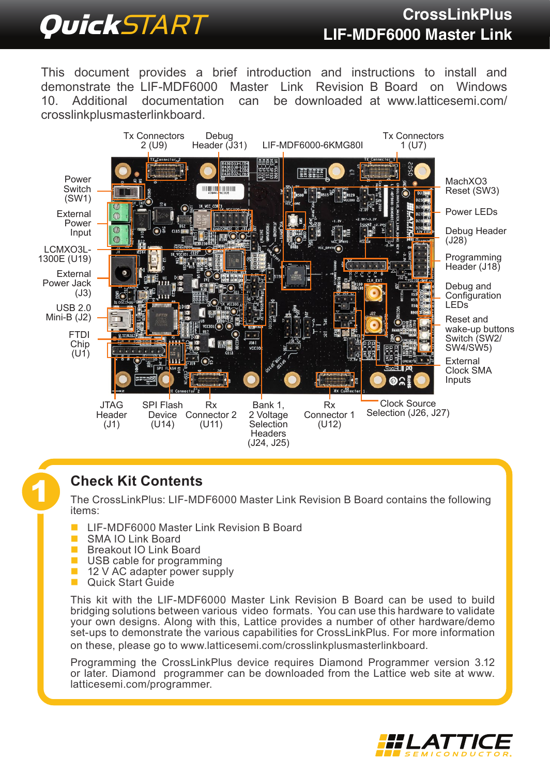# QuickSTART **CrossLinkPlus LIF-MDF6000 Master Link**

This document provides a brief introduction and instructions to install and demonstrate the LIF-MDF6000 Master Link Revision B Board on Windows<br>10 Additional documentation can be downloaded at www.latticesemi.com/ can be downloaded at [www.latticesemi.com/](http://www.latticesemi.com/crosslinkplusmasterlinkboard) [crosslinkplusmasterlinkboard.](http://www.latticesemi.com/crosslinkplusmasterlinkboard)



**1 Check Kit Contents**<br>The CrossLinkPlus: LIF-MDF6000 Master Link Revision B Board contains the following items:

- LIF-MDF6000 Master Link Revision B Board
- SMA IO Link Board
- Breakout IO Link Board
- USB cable for programming
- 12 V AC adapter power supply
- **Duick Start Guide**

This kit with the LIF-MDF6000 Master Link Revision B Board can be used to build bridging solutions between various video formats. You can use this hardware to validate your own designs. Along with this, Lattice provides a number of other hardware/demo set-ups to demonstrate the various capabilities for CrossLinkPlus. For more information on these, please go to [www.latticesemi.com/crosslinkplusmasterlinkboard](http://www.latticesemi.com/crosslinkplusmasterlinkboard).

Programming the CrossLinkPlus device requires Diamond Programmer version 3.12 or later. Diamond programmer can be downloaded from the Lattice web site at www. latticesemi.com/programmer.